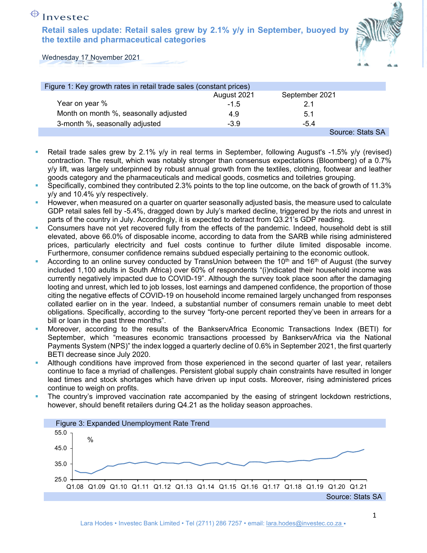**Retail sales update: Retail sales grew by 2.1% y/y in September, buoyed by the textile and pharmaceutical categories** 



Wednesday 17 November 2021

| Figure 1: Key growth rates in retail trade sales (constant prices) |             |                  |
|--------------------------------------------------------------------|-------------|------------------|
|                                                                    | August 2021 | September 2021   |
| Year on year %                                                     | $-1.5$      | 2.1              |
| Month on month %, seasonally adjusted                              | 4.9         | 5.1              |
| 3-month %, seasonally adjusted                                     | $-3.9$      | $-5.4$           |
|                                                                    |             | Source: Stats SA |

- Retail trade sales grew by 2.1% y/y in real terms in September, following August's -1.5% y/y (revised) contraction. The result, which was notably stronger than consensus expectations (Bloomberg) of a 0.7% y/y lift, was largely underpinned by robust annual growth from the textiles, clothing, footwear and leather goods category and the pharmaceuticals and medical goods, cosmetics and toiletries grouping.
- Specifically, combined they contributed 2.3% points to the top line outcome, on the back of growth of 11.3% y/y and 10.4% y/y respectively.
- However, when measured on a quarter on quarter seasonally adjusted basis, the measure used to calculate GDP retail sales fell by -5.4%, dragged down by July's marked decline, triggered by the riots and unrest in parts of the country in July. Accordingly, it is expected to detract from Q3.21's GDP reading.
- Consumers have not yet recovered fully from the effects of the pandemic. Indeed, household debt is still elevated, above 66.0% of disposable income, according to data from the SARB while rising administered prices, particularly electricity and fuel costs continue to further dilute limited disposable income. Furthermore, consumer confidence remains subdued especially pertaining to the economic outlook.
- According to an online survey conducted by TransUnion between the  $10<sup>th</sup>$  and  $16<sup>th</sup>$  of August (the survey included 1,100 adults in South Africa) over 60% of respondents "(i)ndicated their household income was currently negatively impacted due to COVID-19". Although the survey took place soon after the damaging looting and unrest, which led to job losses, lost earnings and dampened confidence, the proportion of those citing the negative effects of COVID-19 on household income remained largely unchanged from responses collated earlier on in the year. Indeed, a substantial number of consumers remain unable to meet debt obligations. Specifically, according to the survey "forty-one percent reported they've been in arrears for a bill or loan in the past three months".
- Moreover, according to the results of the BankservAfrica Economic Transactions Index (BETI) for September, which "measures economic transactions processed by BankservAfrica via the National Payments System (NPS)" the index logged a quarterly decline of 0.6% in September 2021, the first quarterly BETI decrease since July 2020.
- Although conditions have improved from those experienced in the second quarter of last year, retailers continue to face a myriad of challenges. Persistent global supply chain constraints have resulted in longer lead times and stock shortages which have driven up input costs. Moreover, rising administered prices continue to weigh on profits.
- The country's improved vaccination rate accompanied by the easing of stringent lockdown restrictions, however, should benefit retailers during Q4.21 as the holiday season approaches.

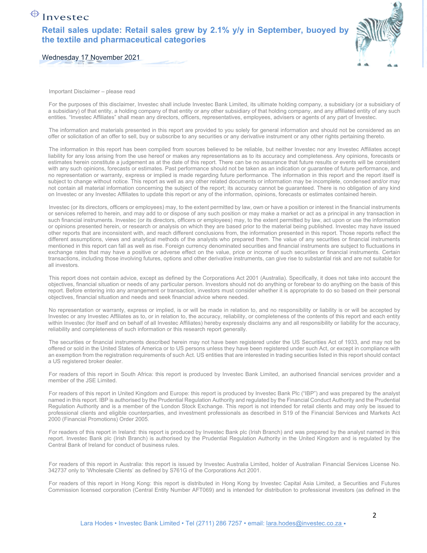**Retail sales update: Retail sales grew by 2.1% y/y in September, buoyed by the textile and pharmaceutical categories** 



Wednesday 17 November 2021

Important Disclaimer – please read

For the purposes of this disclaimer, Investec shall include Investec Bank Limited, its ultimate holding company, a subsidiary (or a subsidiary of a subsidiary) of that entity, a holding company of that entity or any other subsidiary of that holding company, and any affiliated entity of any such entities. "Investec Affiliates" shall mean any directors, officers, representatives, employees, advisers or agents of any part of Investec.

The information and materials presented in this report are provided to you solely for general information and should not be considered as an offer or solicitation of an offer to sell, buy or subscribe to any securities or any derivative instrument or any other rights pertaining thereto.

The information in this report has been compiled from sources believed to be reliable, but neither Investec nor any Investec Affiliates accept liability for any loss arising from the use hereof or makes any representations as to its accuracy and completeness. Any opinions, forecasts or estimates herein constitute a judgement as at the date of this report. There can be no assurance that future results or events will be consistent with any such opinions, forecasts or estimates. Past performance should not be taken as an indication or guarantee of future performance, and no representation or warranty, express or implied is made regarding future performance. The information in this report and the report itself is subject to change without notice. This report as well as any other related documents or information may be incomplete, condensed and/or may not contain all material information concerning the subject of the report; its accuracy cannot be guaranteed. There is no obligation of any kind on Investec or any Investec Affiliates to update this report or any of the information, opinions, forecasts or estimates contained herein.

Investec (or its directors, officers or employees) may, to the extent permitted by law, own or have a position or interest in the financial instruments or services referred to herein, and may add to or dispose of any such position or may make a market or act as a principal in any transaction in such financial instruments. Investec (or its directors, officers or employees) may, to the extent permitted by law, act upon or use the information or opinions presented herein, or research or analysis on which they are based prior to the material being published. Investec may have issued other reports that are inconsistent with, and reach different conclusions from, the information presented in this report. Those reports reflect the different assumptions, views and analytical methods of the analysts who prepared them. The value of any securities or financial instruments mentioned in this report can fall as well as rise. Foreign currency denominated securities and financial instruments are subject to fluctuations in exchange rates that may have a positive or adverse effect on the value, price or income of such securities or financial instruments. Certain transactions, including those involving futures, options and other derivative instruments, can give rise to substantial risk and are not suitable for all investors.

This report does not contain advice, except as defined by the Corporations Act 2001 (Australia). Specifically, it does not take into account the objectives, financial situation or needs of any particular person. Investors should not do anything or forebear to do anything on the basis of this report. Before entering into any arrangement or transaction, investors must consider whether it is appropriate to do so based on their personal objectives, financial situation and needs and seek financial advice where needed.

No representation or warranty, express or implied, is or will be made in relation to, and no responsibility or liability is or will be accepted by Investec or any Investec Affiliates as to, or in relation to, the accuracy, reliability, or completeness of the contents of this report and each entity within Investec (for itself and on behalf of all Investec Affiliates) hereby expressly disclaims any and all responsibility or liability for the accuracy, reliability and completeness of such information or this research report generally.

The securities or financial instruments described herein may not have been registered under the US Securities Act of 1933, and may not be offered or sold in the United States of America or to US persons unless they have been registered under such Act, or except in compliance with an exemption from the registration requirements of such Act. US entities that are interested in trading securities listed in this report should contact a US registered broker dealer.

For readers of this report in South Africa: this report is produced by Investec Bank Limited, an authorised financial services provider and a member of the JSE Limited.

For readers of this report in United Kingdom and Europe: this report is produced by Investec Bank Plc ("IBP") and was prepared by the analyst named in this report. IBP is authorised by the Prudential Regulation Authority and regulated by the Financial Conduct Authority and the Prudential Regulation Authority and is a member of the London Stock Exchange. This report is not intended for retail clients and may only be issued to professional clients and eligible counterparties, and investment professionals as described in S19 of the Financial Services and Markets Act 2000 (Financial Promotions) Order 2005.

For readers of this report in Ireland: this report is produced by Investec Bank plc (Irish Branch) and was prepared by the analyst named in this report. Investec Bank plc (Irish Branch) is authorised by the Prudential Regulation Authority in the United Kingdom and is regulated by the Central Bank of Ireland for conduct of business rules.

For readers of this report in Australia: this report is issued by Investec Australia Limited, holder of Australian Financial Services License No. 342737 only to 'Wholesale Clients' as defined by S761G of the Corporations Act 2001.

For readers of this report in Hong Kong: this report is distributed in Hong Kong by Investec Capital Asia Limited, a Securities and Futures Commission licensed corporation (Central Entity Number AFT069) and is intended for distribution to professional investors (as defined in the